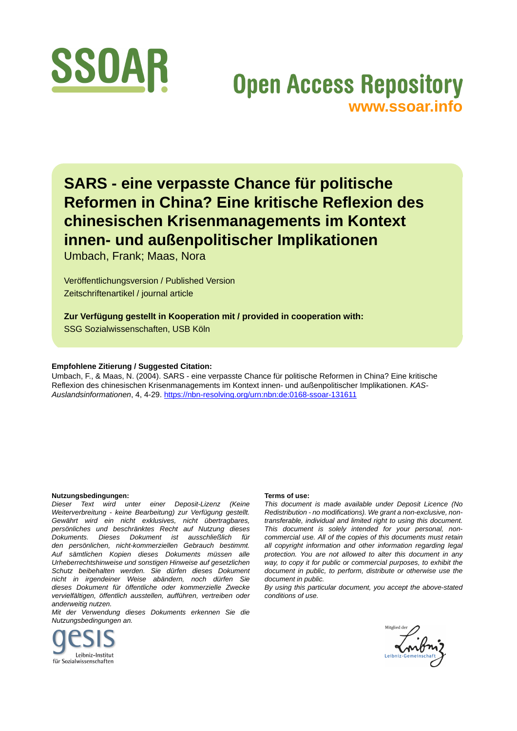

## **Open Access Repository [www.ssoar.info](http://www.ssoar.info)**

**SARS - eine verpasste Chance für politische Reformen in China? Eine kritische Reflexion des chinesischen Krisenmanagements im Kontext innen- und außenpolitischer Implikationen**

Umbach, Frank; Maas, Nora

Veröffentlichungsversion / Published Version Zeitschriftenartikel / journal article

**Zur Verfügung gestellt in Kooperation mit / provided in cooperation with:**

SSG Sozialwissenschaften, USB Köln

#### **Empfohlene Zitierung / Suggested Citation:**

Umbach, F., & Maas, N. (2004). SARS - eine verpasste Chance für politische Reformen in China? Eine kritische Reflexion des chinesischen Krisenmanagements im Kontext innen- und außenpolitischer Implikationen. *KAS-Auslandsinformationen*, 4, 4-29.<https://nbn-resolving.org/urn:nbn:de:0168-ssoar-131611>

#### **Nutzungsbedingungen:**

*Dieser Text wird unter einer Deposit-Lizenz (Keine Weiterverbreitung - keine Bearbeitung) zur Verfügung gestellt. Gewährt wird ein nicht exklusives, nicht übertragbares, persönliches und beschränktes Recht auf Nutzung dieses Dokuments. Dieses Dokument ist ausschließlich für den persönlichen, nicht-kommerziellen Gebrauch bestimmt. Auf sämtlichen Kopien dieses Dokuments müssen alle Urheberrechtshinweise und sonstigen Hinweise auf gesetzlichen Schutz beibehalten werden. Sie dürfen dieses Dokument nicht in irgendeiner Weise abändern, noch dürfen Sie dieses Dokument für öffentliche oder kommerzielle Zwecke vervielfältigen, öffentlich ausstellen, aufführen, vertreiben oder anderweitig nutzen.*

*Mit der Verwendung dieses Dokuments erkennen Sie die Nutzungsbedingungen an.*



#### **Terms of use:**

*This document is made available under Deposit Licence (No Redistribution - no modifications). We grant a non-exclusive, nontransferable, individual and limited right to using this document. This document is solely intended for your personal, noncommercial use. All of the copies of this documents must retain all copyright information and other information regarding legal protection. You are not allowed to alter this document in any way, to copy it for public or commercial purposes, to exhibit the document in public, to perform, distribute or otherwise use the document in public.*

*By using this particular document, you accept the above-stated conditions of use.*

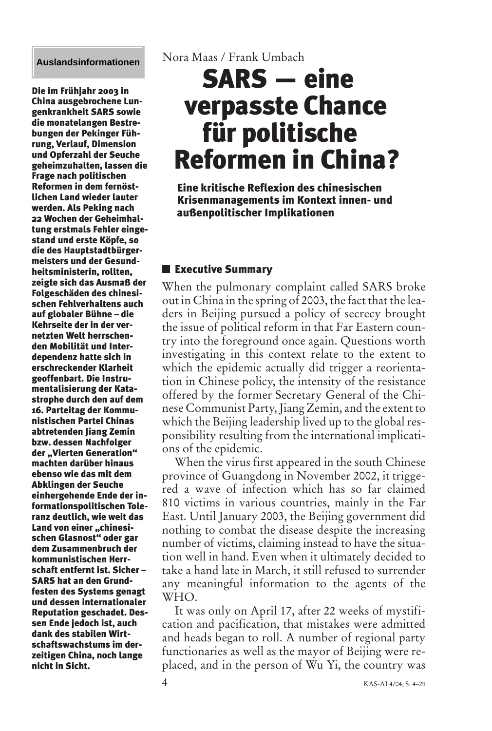#### **Auslandsinformationen**

Die im Frühjahr 2003 in China ausgebrochene Lungenkrankheit SARS sowie die monatelangen Bestrebungen der Pekinger Führung, Verlauf, Dimension und Opferzahl der Seuche geheimzuhalten, lassen die Frage nach politischen Reformen in dem fernöstlichen Land wieder lauter werden. Als Peking nach 22 Wochen der Geheimhaltung erstmals Fehler eingestand und erste Köpfe, so die des Hauptstadtbürgermeisters und der Gesundheitsministerin, rollten, zeigte sich das Ausmaß der Folgeschäden des chinesischen Fehlverhaltens auch auf globaler Bühne – die Kehrseite der in der vernetzten Welt herrschenden Mobilität und Interdependenz hatte sich in erschreckender Klarheit geoffenbart. Die Instrumentalisierung der Katastrophe durch den auf dem 16. Parteitag der Kommunistischen Partei Chinas abtretenden Jiang Zemin bzw. dessen Nachfolger der "Vierten Generation" machten darüber hinaus ebenso wie das mit dem Abklingen der Seuche einhergehende Ende der informationspolitischen Toleranz deutlich, wie weit das Land von einer "chinesischen Glasnost" oder gar dem Zusammenbruch der kommunistischen Herrschaft entfernt ist. Sicher – SARS hat an den Grundfesten des Systems genagt und dessen internationaler Reputation geschadet. Dessen Ende jedoch ist, auch dank des stabilen Wirtschaftswachstums im derzeitigen China, noch lange nicht in Sicht.

Nora Maas / Frank Umbach

# SARS — eine verpasste Chance für politische Reformen in China?

Eine kritische Reflexion des chinesischen Krisenmanagements im Kontext innen- und außenpolitischer Implikationen

## **Executive Summary**

When the pulmonary complaint called SARS broke out in China in the spring of 2003, the fact that the leaders in Beijing pursued a policy of secrecy brought the issue of political reform in that Far Eastern country into the foreground once again. Questions worth investigating in this context relate to the extent to which the epidemic actually did trigger a reorientation in Chinese policy, the intensity of the resistance offered by the former Secretary General of the Chinese Communist Party, Jiang Zemin, and the extent to which the Beijing leadership lived up to the global responsibility resulting from the international implications of the epidemic.

When the virus first appeared in the south Chinese province of Guangdong in November 2002, it triggered a wave of infection which has so far claimed 810 victims in various countries, mainly in the Far East. Until January 2003, the Beijing government did nothing to combat the disease despite the increasing number of victims, claiming instead to have the situation well in hand. Even when it ultimately decided to take a hand late in March, it still refused to surrender any meaningful information to the agents of the WHO.

It was only on April 17, after 22 weeks of mystification and pacification, that mistakes were admitted and heads began to roll. A number of regional party functionaries as well as the mayor of Beijing were replaced, and in the person of Wu Yi, the country was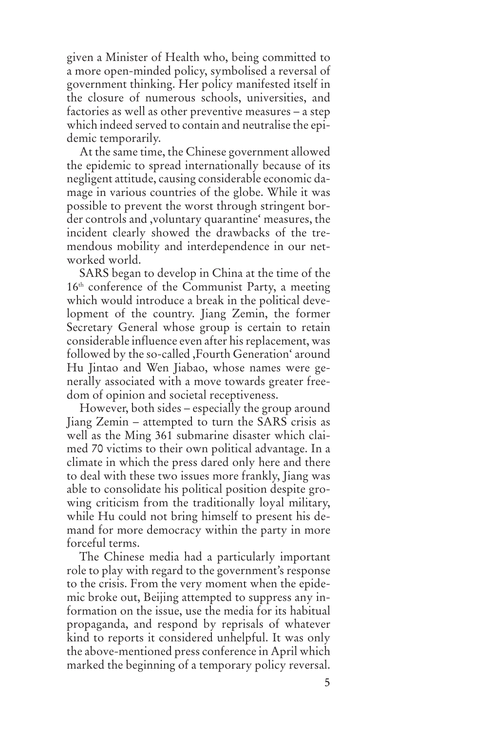given a Minister of Health who, being committed to a more open-minded policy, symbolised a reversal of government thinking. Her policy manifested itself in the closure of numerous schools, universities, and factories as well as other preventive measures – a step which indeed served to contain and neutralise the epidemic temporarily.

At the same time, the Chinese government allowed the epidemic to spread internationally because of its negligent attitude, causing considerable economic damage in various countries of the globe. While it was possible to prevent the worst through stringent border controls and ,voluntary quarantine' measures, the incident clearly showed the drawbacks of the tremendous mobility and interdependence in our networked world.

SARS began to develop in China at the time of the 16<sup>th</sup> conference of the Communist Party, a meeting which would introduce a break in the political development of the country. Jiang Zemin, the former Secretary General whose group is certain to retain considerable influence even after his replacement, was followed by the so-called ,Fourth Generation' around Hu Jintao and Wen Jiabao, whose names were generally associated with a move towards greater freedom of opinion and societal receptiveness.

However, both sides – especially the group around Jiang Zemin – attempted to turn the SARS crisis as well as the Ming 361 submarine disaster which claimed 70 victims to their own political advantage. In a climate in which the press dared only here and there to deal with these two issues more frankly, Jiang was able to consolidate his political position despite growing criticism from the traditionally loyal military, while Hu could not bring himself to present his demand for more democracy within the party in more forceful terms.

The Chinese media had a particularly important role to play with regard to the government's response to the crisis. From the very moment when the epidemic broke out, Beijing attempted to suppress any information on the issue, use the media for its habitual propaganda, and respond by reprisals of whatever kind to reports it considered unhelpful. It was only the above-mentioned press conference in April which marked the beginning of a temporary policy reversal.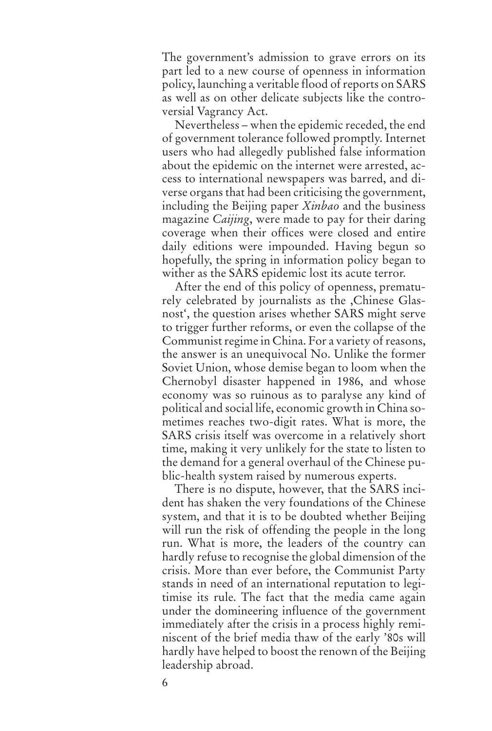The government's admission to grave errors on its part led to a new course of openness in information policy, launching a veritable flood of reports on SARS as well as on other delicate subjects like the controversial Vagrancy Act.

Nevertheless – when the epidemic receded, the end of government tolerance followed promptly. Internet users who had allegedly published false information about the epidemic on the internet were arrested, access to international newspapers was barred, and diverse organs that had been criticising the government, including the Beijing paper *Xinbao* and the business magazine *Caijing*, were made to pay for their daring coverage when their offices were closed and entire daily editions were impounded. Having begun so hopefully, the spring in information policy began to wither as the SARS epidemic lost its acute terror.

After the end of this policy of openness, prematurely celebrated by journalists as the ,Chinese Glasnost', the question arises whether SARS might serve to trigger further reforms, or even the collapse of the Communist regime in China. For a variety of reasons, the answer is an unequivocal No. Unlike the former Soviet Union, whose demise began to loom when the Chernobyl disaster happened in 1986, and whose economy was so ruinous as to paralyse any kind of political and social life, economic growth in China sometimes reaches two-digit rates. What is more, the SARS crisis itself was overcome in a relatively short time, making it very unlikely for the state to listen to the demand for a general overhaul of the Chinese public-health system raised by numerous experts.

There is no dispute, however, that the SARS incident has shaken the very foundations of the Chinese system, and that it is to be doubted whether Beijing will run the risk of offending the people in the long run. What is more, the leaders of the country can hardly refuse to recognise the global dimension of the crisis. More than ever before, the Communist Party stands in need of an international reputation to legitimise its rule. The fact that the media came again under the domineering influence of the government immediately after the crisis in a process highly reminiscent of the brief media thaw of the early '80s will hardly have helped to boost the renown of the Beijing leadership abroad.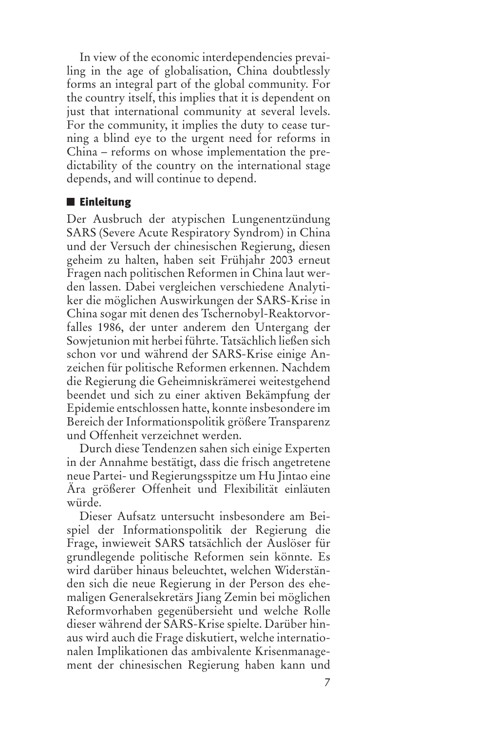In view of the economic interdependencies prevailing in the age of globalisation, China doubtlessly forms an integral part of the global community. For the country itself, this implies that it is dependent on just that international community at several levels. For the community, it implies the duty to cease turning a blind eye to the urgent need for reforms in China – reforms on whose implementation the predictability of the country on the international stage depends, and will continue to depend.

### **■ Einleitung**

Der Ausbruch der atypischen Lungenentzündung SARS (Severe Acute Respiratory Syndrom) in China und der Versuch der chinesischen Regierung, diesen geheim zu halten, haben seit Frühjahr 2003 erneut Fragen nach politischen Reformen in China laut werden lassen. Dabei vergleichen verschiedene Analytiker die möglichen Auswirkungen der SARS-Krise in China sogar mit denen des Tschernobyl-Reaktorvorfalles 1986, der unter anderem den Untergang der Sowjetunion mit herbei führte. Tatsächlich ließen sich schon vor und während der SARS-Krise einige Anzeichen für politische Reformen erkennen. Nachdem die Regierung die Geheimniskrämerei weitestgehend beendet und sich zu einer aktiven Bekämpfung der Epidemie entschlossen hatte, konnte insbesondere im Bereich der Informationspolitik größere Transparenz und Offenheit verzeichnet werden.

Durch diese Tendenzen sahen sich einige Experten in der Annahme bestätigt, dass die frisch angetretene neue Partei- und Regierungsspitze um Hu Jintao eine Ära größerer Offenheit und Flexibilität einläuten würde.

Dieser Aufsatz untersucht insbesondere am Beispiel der Informationspolitik der Regierung die Frage, inwieweit SARS tatsächlich der Auslöser für grundlegende politische Reformen sein könnte. Es wird darüber hinaus beleuchtet, welchen Widerständen sich die neue Regierung in der Person des ehemaligen Generalsekretärs Jiang Zemin bei möglichen Reformvorhaben gegenübersieht und welche Rolle dieser während der SARS-Krise spielte. Darüber hinaus wird auch die Frage diskutiert, welche internationalen Implikationen das ambivalente Krisenmanagement der chinesischen Regierung haben kann und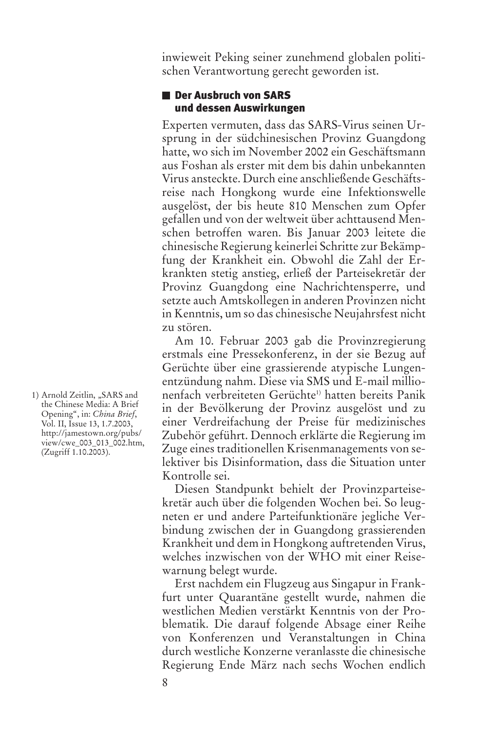inwieweit Peking seiner zunehmend globalen politischen Verantwortung gerecht geworden ist.

## ■ Der Ausbruch von SARS und dessen Auswirkungen

Experten vermuten, dass das SARS*-*Virus seinen Ursprung in der südchinesischen Provinz Guangdong hatte, wo sich im November 2002 ein Geschäftsmann aus Foshan als erster mit dem bis dahin unbekannten Virus ansteckte. Durch eine anschließende Geschäftsreise nach Hongkong wurde eine Infektionswelle ausgelöst, der bis heute 810 Menschen zum Opfer gefallen und von der weltweit über achttausend Menschen betroffen waren. Bis Januar 2003 leitete die chinesische Regierung keinerlei Schritte zur Bekämpfung der Krankheit ein. Obwohl die Zahl der Erkrankten stetig anstieg, erließ der Parteisekretär der Provinz Guangdong eine Nachrichtensperre, und setzte auch Amtskollegen in anderen Provinzen nicht in Kenntnis, um so das chinesische Neujahrsfest nicht zu stören.

Am 10. Februar 2003 gab die Provinzregierung erstmals eine Pressekonferenz, in der sie Bezug auf Gerüchte über eine grassierende atypische Lungenentzündung nahm. Diese via SMS und E-mail millionenfach verbreiteten Gerüchte<sup>1)</sup> hatten bereits Panik in der Bevölkerung der Provinz ausgelöst und zu einer Verdreifachung der Preise für medizinisches Zubehör geführt. Dennoch erklärte die Regierung im Zuge eines traditionellen Krisenmanagements von selektiver bis Disinformation, dass die Situation unter Kontrolle sei.

Diesen Standpunkt behielt der Provinzparteisekretär auch über die folgenden Wochen bei. So leugneten er und andere Parteifunktionäre jegliche Verbindung zwischen der in Guangdong grassierenden Krankheit und dem in Hongkong auftretenden Virus, welches inzwischen von der WHO mit einer Reisewarnung belegt wurde.

Erst nachdem ein Flugzeug aus Singapur in Frankfurt unter Quarantäne gestellt wurde, nahmen die westlichen Medien verstärkt Kenntnis von der Problematik. Die darauf folgende Absage einer Reihe von Konferenzen und Veranstaltungen in China durch westliche Konzerne veranlasste die chinesische Regierung Ende März nach sechs Wochen endlich

<sup>1)</sup> Arnold Zeitlin, "SARS and the Chinese Media: A Brief Opening", in: *China Brief*, Vol. II, Issue 13, 1.7.2003, http://jamestown.org/pubs/ view/cwe\_003\_013\_002.htm, (Zugriff 1.10.2003).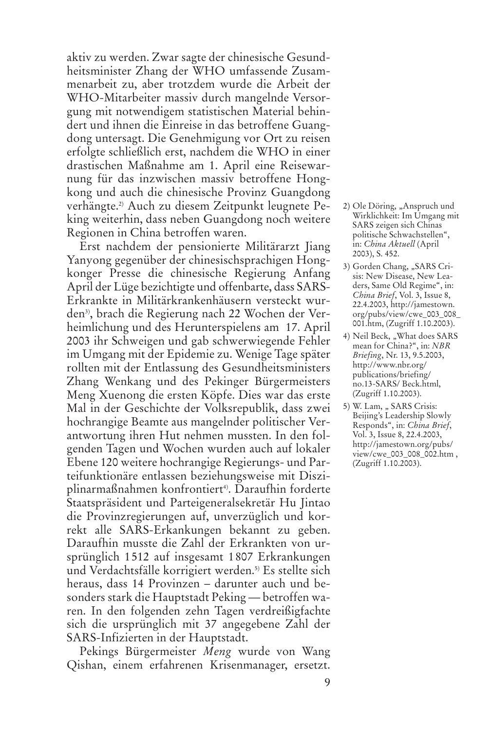aktiv zu werden. Zwar sagte der chinesische Gesundheitsminister Zhang der WHO umfassende Zusammenarbeit zu, aber trotzdem wurde die Arbeit der WHO-Mitarbeiter massiv durch mangelnde Versorgung mit notwendigem statistischen Material behindert und ihnen die Einreise in das betroffene Guangdong untersagt. Die Genehmigung vor Ort zu reisen erfolgte schließlich erst, nachdem die WHO in einer drastischen Maßnahme am 1. April eine Reisewarnung für das inzwischen massiv betroffene Hongkong und auch die chinesische Provinz Guangdong verhängte.2) Auch zu diesem Zeitpunkt leugnete Peking weiterhin, dass neben Guangdong noch weitere Regionen in China betroffen waren.

Erst nachdem der pensionierte Militärarzt Jiang Yanyong gegenüber der chinesischsprachigen Hongkonger Presse die chinesische Regierung Anfang April der Lüge bezichtigte und offenbarte, dass SARS-Erkrankte in Militärkrankenhäusern versteckt wurden<sup>3)</sup>, brach die Regierung nach 22 Wochen der Verheimlichung und des Herunterspielens am 17. April 2003 ihr Schweigen und gab schwerwiegende Fehler im Umgang mit der Epidemie zu. Wenige Tage später rollten mit der Entlassung des Gesundheitsministers Zhang Wenkang und des Pekinger Bürgermeisters Meng Xuenong die ersten Köpfe. Dies war das erste Mal in der Geschichte der Volksrepublik, dass zwei hochrangige Beamte aus mangelnder politischer Verantwortung ihren Hut nehmen mussten. In den folgenden Tagen und Wochen wurden auch auf lokaler Ebene 120 weitere hochrangige Regierungs- und Parteifunktionäre entlassen beziehungsweise mit Disziplinarmaßnahmen konfrontiert<sup>4</sup>. Daraufhin forderte Staatspräsident und Parteigeneralsekretär Hu Jintao die Provinzregierungen auf, unverzüglich und korrekt alle SARS-Erkankungen bekannt zu geben. Daraufhin musste die Zahl der Erkrankten von ursprünglich 1512 auf insgesamt 1807 Erkrankungen und Verdachtsfälle korrigiert werden.<sup>5)</sup> Es stellte sich heraus, dass 14 Provinzen – darunter auch und besonders stark die Hauptstadt Peking — betroffen waren. In den folgenden zehn Tagen verdreißigfachte sich die ursprünglich mit 37 angegebene Zahl der SARS-Infizierten in der Hauptstadt.

Pekings Bürgermeister *Meng* wurde von Wang Qishan, einem erfahrenen Krisenmanager, ersetzt.

- 2) Ole Döring, "Anspruch und Wirklichkeit: Im Umgang mit SARS zeigen sich Chinas politische Schwachstellen", in: *China Aktuell* (April 2003), S. 452.
- 3) Gorden Chang, "SARS Crisis: New Disease, New Leaders, Same Old Regime", in: *China Brief*, Vol. 3, Issue 8, 22.4.2003, http://jamestown. org/pubs/view/cwe\_003\_008\_ 001.htm, (Zugriff 1.10.2003).
- 4) Neil Beck, "What does SARS mean for China?", in: *NBR Briefing*, Nr. 13, 9.5.2003, http://www.nbr.org/ publications/briefing/ no.13-SARS/ Beck.html, (Zugriff 1.10.2003).
- 5) W. Lam, " SARS Crisis: Beijing's Leadership Slowly Responds", in: *China Brief*, Vol. 3, Issue 8, 22.4.2003, http://jamestown.org/pubs/ view/cwe\_003\_008\_002.htm , (Zugriff 1.10.2003).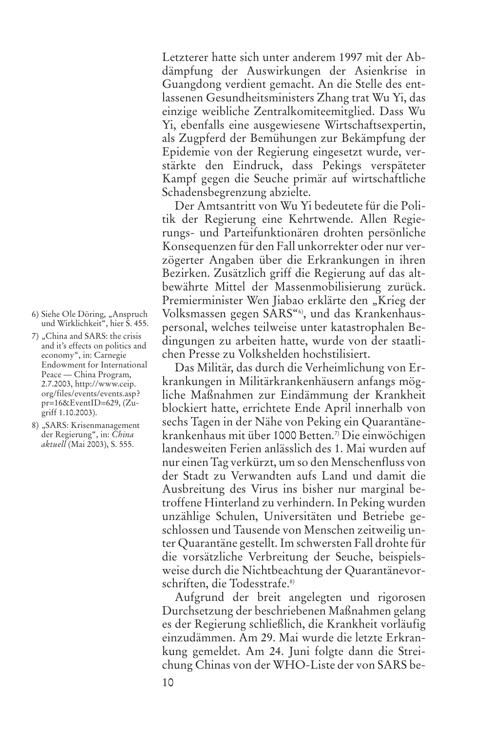dämpfung der Auswirkungen der Asienkrise in Guangdong verdient gemacht. An die Stelle des entlassenen Gesundheitsministers Zhang trat Wu Yi, das einzige weibliche Zentralkomiteemitglied. Dass Wu Yi, ebenfalls eine ausgewiesene Wirtschaftsexpertin, als Zugpferd der Bemühungen zur Bekämpfung der Epidemie von der Regierung eingesetzt wurde, verstärkte den Eindruck, dass Pekings verspäteter Kampf gegen die Seuche primär auf wirtschaftliche Schadensbegrenzung abzielte.

Letzterer hatte sich unter anderem 1997 mit der Ab-

Der Amtsantritt von Wu Yi bedeutete für die Politik der Regierung eine Kehrtwende. Allen Regierungs- und Parteifunktionären drohten persönliche Konsequenzen für den Fall unkorrekter oder nur verzögerter Angaben über die Erkrankungen in ihren Bezirken. Zusätzlich griff die Regierung auf das altbewährte Mittel der Massenmobilisierung zurück. Premierminister Wen Jiabao erklärte den "Krieg der Volksmassen gegen SARS"6), und das Krankenhauspersonal, welches teilweise unter katastrophalen Bedingungen zu arbeiten hatte, wurde von der staatlichen Presse zu Volkshelden hochstilisiert.

Das Militär, das durch die Verheimlichung von Erkrankungen in Militärkrankenhäusern anfangs mögliche Maßnahmen zur Eindämmung der Krankheit blockiert hatte, errichtete Ende April innerhalb von sechs Tagen in der Nähe von Peking ein Quarantänekrankenhaus mit über 1000 Betten.7) Die einwöchigen landesweiten Ferien anlässlich des 1. Mai wurden auf nur einen Tag verkürzt, um so den Menschenfluss von der Stadt zu Verwandten aufs Land und damit die Ausbreitung des Virus ins bisher nur marginal betroffene Hinterland zu verhindern. In Peking wurden unzählige Schulen, Universitäten und Betriebe geschlossen und Tausende von Menschen zeitweilig unter Quarantäne gestellt. Im schwersten Fall drohte für die vorsätzliche Verbreitung der Seuche, beispielsweise durch die Nichtbeachtung der Quarantänevorschriften, die Todesstrafe.<sup>8)</sup>

Aufgrund der breit angelegten und rigorosen Durchsetzung der beschriebenen Maßnahmen gelang es der Regierung schließlich, die Krankheit vorläufig einzudämmen. Am 29. Mai wurde die letzte Erkrankung gemeldet. Am 24. Juni folgte dann die Streichung Chinas von der WHO-Liste der von SARS be-

- 6) Siehe Ole Döring, "Anspruch und Wirklichkeit", hier S. 455.
- 7) "China and SARS: the crisis and it's effects on politics and economy", in: Carnegie Endowment for International Peace — China Program, 2.7.2003, http://www.ceip. org/files/events/events.asp? pr=16&EventID=629, (Zugriff 1.10.2003).
- 8) "SARS: Krisenmanagement der Regierung", in: *China aktuell* (Mai 2003), S. 555.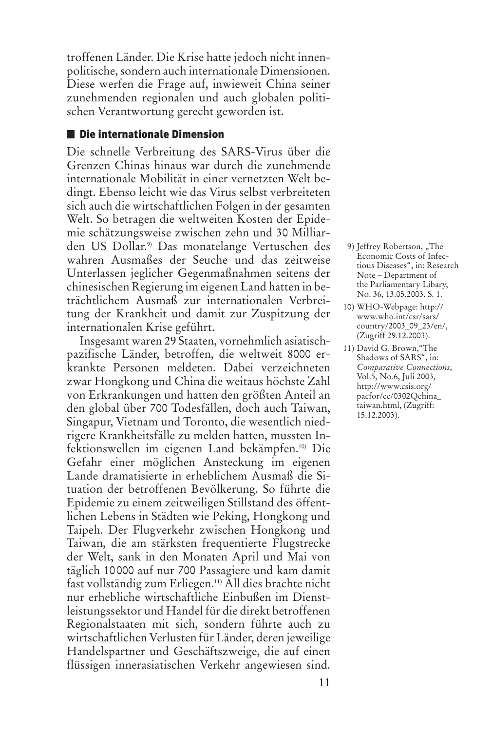troffenen Länder. Die Krise hatte jedoch nicht innenpolitische, sondern auch internationale Dimensionen. Diese werfen die Frage auf, inwieweit China seiner zunehmenden regionalen und auch globalen politischen Verantwortung gerecht geworden ist.

### Die internationale Dimension

Die schnelle Verbreitung des SARS-Virus über die Grenzen Chinas hinaus war durch die zunehmende internationale Mobilität in einer vernetzten Welt bedingt. Ebenso leicht wie das Virus selbst verbreiteten sich auch die wirtschaftlichen Folgen in der gesamten Welt. So betragen die weltweiten Kosten der Epidemie schätzungsweise zwischen zehn und 30 Milliarden US Dollar.9) Das monatelange Vertuschen des wahren Ausmaßes der Seuche und das zeitweise Unterlassen jeglicher Gegenmaßnahmen seitens der chinesischen Regierung im eigenen Land hatten in beträchtlichem Ausmaß zur internationalen Verbreitung der Krankheit und damit zur Zuspitzung der internationalen Krise geführt.

Insgesamt waren 29 Staaten, vornehmlich asiatischpazifische Länder, betroffen, die weltweit 8000 erkrankte Personen meldeten. Dabei verzeichneten zwar Hongkong und China die weitaus höchste Zahl von Erkrankungen und hatten den größten Anteil an den global über 700 Todesfällen, doch auch Taiwan, Singapur, Vietnam und Toronto, die wesentlich niedrigere Krankheitsfälle zu melden hatten, mussten Infektionswellen im eigenen Land bekämpfen.10) Die Gefahr einer möglichen Ansteckung im eigenen Lande dramatisierte in erheblichem Ausmaß die Situation der betroffenen Bevölkerung. So führte die Epidemie zu einem zeitweiligen Stillstand des öffentlichen Lebens in Städten wie Peking, Hongkong und Taipeh. Der Flugverkehr zwischen Hongkong und Taiwan, die am stärksten frequentierte Flugstrecke der Welt, sank in den Monaten April und Mai von täglich 10000 auf nur 700 Passagiere und kam damit fast vollständig zum Erliegen.11) All dies brachte nicht nur erhebliche wirtschaftliche Einbußen im Dienstleistungssektor und Handel für die direkt betroffenen Regionalstaaten mit sich, sondern führte auch zu wirtschaftlichen Verlusten für Länder, deren jeweilige Handelspartner und Geschäftszweige, die auf einen flüssigen innerasiatischen Verkehr angewiesen sind.

9) Jeffrey Robertson, "The Economic Costs of Infectious Diseases", in: Research Note – Department of the Parliamentary Libary, No. 36, 13.05.2003. S. 1.

- 10) WHO-Webpage: http:// www.who.int/csr/sars/ country/2003\_09\_23/en/, (Zugriff 29.12.2003).
- 11) David G. Brown,"The Shadows of SARS", in: *Comparative Connections*, Vol.5, No.6, Juli 2003, http://www.csis.org/ pacfor/cc/0302Qchina\_ taiwan.html, (Zugriff: 15.12.2003).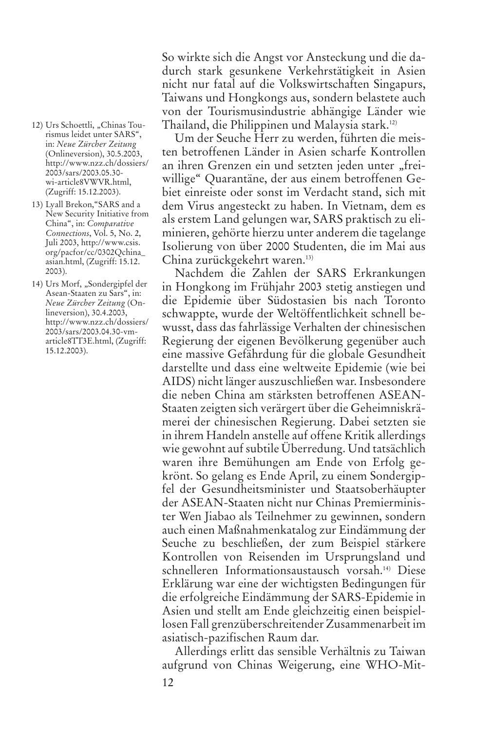- 12) Urs Schoettli, "Chinas Tourismus leidet unter SARS", in: *Neue Zürcher Zeitung* (Onlineversion), 30.5.2003, http://www.nzz.ch/dossiers/ 2003/sars/2003.05.30 wi-article8VWVR.html, (Zugriff: 15.12.2003).
- 13) Lyall Brekon,"SARS and a New Security Initiative from China", in: *Comparative Connections*, Vol. 5, No. 2, Juli 2003, http://www.csis. org/pacfor/cc/0302Qchina\_ asian.html, (Zugriff: 15.12. 2003).
- 14) Urs Morf, "Sondergipfel der Asean-Staaten zu Sars", in: *Neue Zürcher Zeitung* (Onlineversion), 30.4.2003, http://www.nzz.ch/dossiers/ 2003/sars/2003.04.30-vmarticle8TT3E.html, (Zugriff: 15.12.2003).

So wirkte sich die Angst vor Ansteckung und die dadurch stark gesunkene Verkehrstätigkeit in Asien nicht nur fatal auf die Volkswirtschaften Singapurs, Taiwans und Hongkongs aus, sondern belastete auch von der Tourismusindustrie abhängige Länder wie Thailand, die Philippinen und Malaysia stark.12)

Um der Seuche Herr zu werden, führten die meisten betroffenen Länder in Asien scharfe Kontrollen an ihren Grenzen ein und setzten jeden unter "freiwillige" Quarantäne, der aus einem betroffenen Gebiet einreiste oder sonst im Verdacht stand, sich mit dem Virus angesteckt zu haben. In Vietnam, dem es als erstem Land gelungen war, SARS praktisch zu eliminieren, gehörte hierzu unter anderem die tagelange Isolierung von über 2000 Studenten, die im Mai aus China zurückgekehrt waren.13)

Nachdem die Zahlen der SARS Erkrankungen in Hongkong im Frühjahr 2003 stetig anstiegen und die Epidemie über Südostasien bis nach Toronto schwappte, wurde der Weltöffentlichkeit schnell bewusst, dass das fahrlässige Verhalten der chinesischen Regierung der eigenen Bevölkerung gegenüber auch eine massive Gefährdung für die globale Gesundheit darstellte und dass eine weltweite Epidemie (wie bei AIDS) nicht länger auszuschließen war. Insbesondere die neben China am stärksten betroffenen ASEAN-Staaten zeigten sich verärgert über die Geheimniskrämerei der chinesischen Regierung. Dabei setzten sie in ihrem Handeln anstelle auf offene Kritik allerdings wie gewohnt auf subtile Überredung. Und tatsächlich waren ihre Bemühungen am Ende von Erfolg gekrönt. So gelang es Ende April, zu einem Sondergipfel der Gesundheitsminister und Staatsoberhäupter der ASEAN-Staaten nicht nur Chinas Premierminister Wen Jiabao als Teilnehmer zu gewinnen, sondern auch einen Maßnahmenkatalog zur Eindämmung der Seuche zu beschließen, der zum Beispiel stärkere Kontrollen von Reisenden im Ursprungsland und schnelleren Informationsaustausch vorsah.14) Diese Erklärung war eine der wichtigsten Bedingungen für die erfolgreiche Eindämmung der SARS-Epidemie in Asien und stellt am Ende gleichzeitig einen beispiellosen Fall grenzüberschreitender Zusammenarbeit im asiatisch-pazifischen Raum dar.

Allerdings erlitt das sensible Verhältnis zu Taiwan aufgrund von Chinas Weigerung, eine WHO-Mit-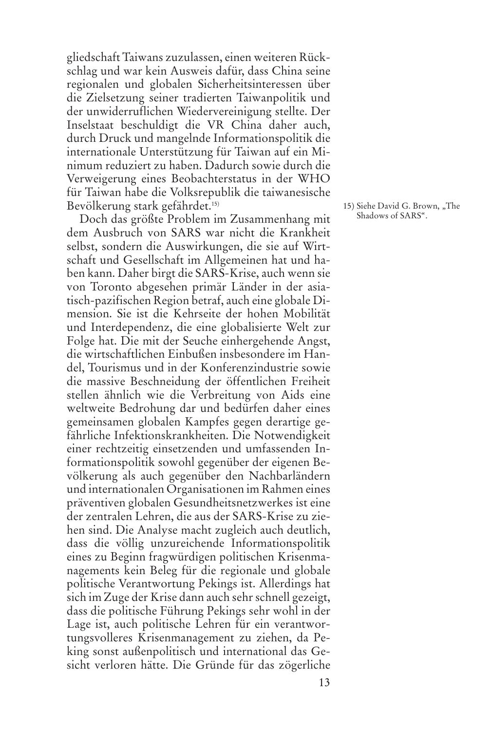gliedschaft Taiwans zuzulassen, einen weiteren Rückschlag und war kein Ausweis dafür, dass China seine regionalen und globalen Sicherheitsinteressen über die Zielsetzung seiner tradierten Taiwanpolitik und der unwiderruflichen Wiedervereinigung stellte. Der Inselstaat beschuldigt die VR China daher auch, durch Druck und mangelnde Informationspolitik die internationale Unterstützung für Taiwan auf ein Minimum reduziert zu haben. Dadurch sowie durch die Verweigerung eines Beobachterstatus in der WHO für Taiwan habe die Volksrepublik die taiwanesische Bevölkerung stark gefährdet.15)

Doch das größte Problem im Zusammenhang mit dem Ausbruch von SARS war nicht die Krankheit selbst, sondern die Auswirkungen, die sie auf Wirtschaft und Gesellschaft im Allgemeinen hat und haben kann. Daher birgt die SARS-Krise, auch wenn sie von Toronto abgesehen primär Länder in der asiatisch-pazifischen Region betraf, auch eine globale Dimension. Sie ist die Kehrseite der hohen Mobilität und Interdependenz, die eine globalisierte Welt zur Folge hat. Die mit der Seuche einhergehende Angst, die wirtschaftlichen Einbußen insbesondere im Handel, Tourismus und in der Konferenzindustrie sowie die massive Beschneidung der öffentlichen Freiheit stellen ähnlich wie die Verbreitung von Aids eine weltweite Bedrohung dar und bedürfen daher eines gemeinsamen globalen Kampfes gegen derartige gefährliche Infektionskrankheiten. Die Notwendigkeit einer rechtzeitig einsetzenden und umfassenden Informationspolitik sowohl gegenüber der eigenen Bevölkerung als auch gegenüber den Nachbarländern und internationalen Organisationen im Rahmen eines präventiven globalen Gesundheitsnetzwerkes ist eine der zentralen Lehren, die aus der SARS-Krise zu ziehen sind. Die Analyse macht zugleich auch deutlich, dass die völlig unzureichende Informationspolitik eines zu Beginn fragwürdigen politischen Krisenmanagements kein Beleg für die regionale und globale politische Verantwortung Pekings ist. Allerdings hat sich im Zuge der Krise dann auch sehr schnell gezeigt, dass die politische Führung Pekings sehr wohl in der Lage ist, auch politische Lehren für ein verantwortungsvolleres Krisenmanagement zu ziehen, da Peking sonst außenpolitisch und international das Gesicht verloren hätte. Die Gründe für das zögerliche 15) Siehe David G. Brown, "The Shadows of SARS".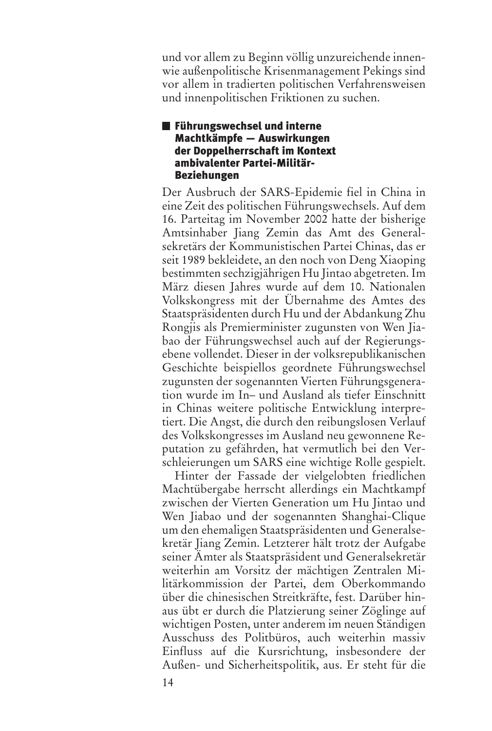und vor allem zu Beginn völlig unzureichende innenwie außenpolitische Krisenmanagement Pekings sind vor allem in tradierten politischen Verfahrensweisen und innenpolitischen Friktionen zu suchen.

#### Führungswechsel und interne Machtkämpfe — Auswirkungen der Doppelherrschaft im Kontext ambivalenter Partei-Militär-Beziehungen

Der Ausbruch der SARS-Epidemie fiel in China in eine Zeit des politischen Führungswechsels. Auf dem 16. Parteitag im November 2002 hatte der bisherige Amtsinhaber Jiang Zemin das Amt des Generalsekretärs der Kommunistischen Partei Chinas, das er seit 1989 bekleidete, an den noch von Deng Xiaoping bestimmten sechzigjährigen Hu Jintao abgetreten. Im März diesen Jahres wurde auf dem 10. Nationalen Volkskongress mit der Übernahme des Amtes des Staatspräsidenten durch Hu und der Abdankung Zhu Rongjis als Premierminister zugunsten von Wen Jiabao der Führungswechsel auch auf der Regierungsebene vollendet. Dieser in der volksrepublikanischen Geschichte beispiellos geordnete Führungswechsel zugunsten der sogenannten Vierten Führungsgeneration wurde im In– und Ausland als tiefer Einschnitt in Chinas weitere politische Entwicklung interpretiert. Die Angst, die durch den reibungslosen Verlauf des Volkskongresses im Ausland neu gewonnene Reputation zu gefährden, hat vermutlich bei den Verschleierungen um SARS eine wichtige Rolle gespielt.

Hinter der Fassade der vielgelobten friedlichen Machtübergabe herrscht allerdings ein Machtkampf zwischen der Vierten Generation um Hu Jintao und Wen Jiabao und der sogenannten Shanghai-Clique um den ehemaligen Staatspräsidenten und Generalsekretär Jiang Zemin. Letzterer hält trotz der Aufgabe seiner Ämter als Staatspräsident und Generalsekretär weiterhin am Vorsitz der mächtigen Zentralen Militärkommission der Partei, dem Oberkommando über die chinesischen Streitkräfte, fest. Darüber hinaus übt er durch die Platzierung seiner Zöglinge auf wichtigen Posten, unter anderem im neuen Ständigen Ausschuss des Politbüros, auch weiterhin massiv Einfluss auf die Kursrichtung, insbesondere der Außen- und Sicherheitspolitik, aus. Er steht für die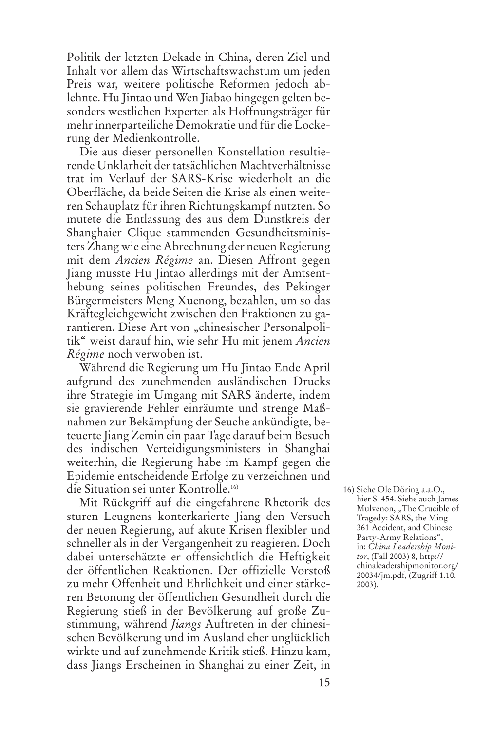Politik der letzten Dekade in China, deren Ziel und Inhalt vor allem das Wirtschaftswachstum um jeden Preis war, weitere politische Reformen jedoch ablehnte. Hu Jintao und Wen Jiabao hingegen gelten besonders westlichen Experten als Hoffnungsträger für mehr innerparteiliche Demokratie und für die Lockerung der Medienkontrolle.

Die aus dieser personellen Konstellation resultierende Unklarheit der tatsächlichen Machtverhältnisse trat im Verlauf der SARS-Krise wiederholt an die Oberfläche, da beide Seiten die Krise als einen weiteren Schauplatz für ihren Richtungskampf nutzten. So mutete die Entlassung des aus dem Dunstkreis der Shanghaier Clique stammenden Gesundheitsministers Zhang wie eine Abrechnung der neuen Regierung mit dem *Ancien Régime* an. Diesen Affront gegen Jiang musste Hu Jintao allerdings mit der Amtsenthebung seines politischen Freundes, des Pekinger Bürgermeisters Meng Xuenong, bezahlen, um so das Kräftegleichgewicht zwischen den Fraktionen zu garantieren. Diese Art von "chinesischer Personalpolitik" weist darauf hin, wie sehr Hu mit jenem *Ancien Régime* noch verwoben ist.

Während die Regierung um Hu Jintao Ende April aufgrund des zunehmenden ausländischen Drucks ihre Strategie im Umgang mit SARS änderte, indem sie gravierende Fehler einräumte und strenge Maßnahmen zur Bekämpfung der Seuche ankündigte, beteuerte Jiang Zemin ein paar Tage darauf beim Besuch des indischen Verteidigungsministers in Shanghai weiterhin, die Regierung habe im Kampf gegen die Epidemie entscheidende Erfolge zu verzeichnen und die Situation sei unter Kontrolle.16)

Mit Rückgriff auf die eingefahrene Rhetorik des sturen Leugnens konterkarierte Jiang den Versuch der neuen Regierung, auf akute Krisen flexibler und schneller als in der Vergangenheit zu reagieren. Doch dabei unterschätzte er offensichtlich die Heftigkeit der öffentlichen Reaktionen. Der offizielle Vorstoß zu mehr Offenheit und Ehrlichkeit und einer stärkeren Betonung der öffentlichen Gesundheit durch die Regierung stieß in der Bevölkerung auf große Zustimmung, während *Jiangs* Auftreten in der chinesischen Bevölkerung und im Ausland eher unglücklich wirkte und auf zunehmende Kritik stieß. Hinzu kam, dass Jiangs Erscheinen in Shanghai zu einer Zeit, in

<sup>16)</sup> Siehe Ole Döring a.a.O., hier S. 454. Siehe auch James Mulvenon, "The Crucible of Tragedy: SARS, the Ming 361 Accident, and Chinese Party-Army Relations", in: *China Leadership Monitor*, (Fall 2003) 8, http:// chinaleadershipmonitor.org/ 20034/jm.pdf, (Zugriff 1.10. 2003).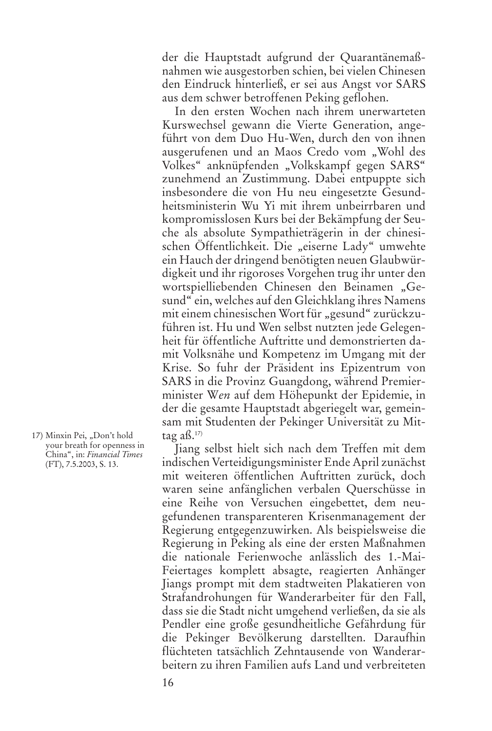der die Hauptstadt aufgrund der Quarantänemaßnahmen wie ausgestorben schien, bei vielen Chinesen den Eindruck hinterließ, er sei aus Angst vor SARS aus dem schwer betroffenen Peking geflohen.

In den ersten Wochen nach ihrem unerwarteten Kurswechsel gewann die Vierte Generation, angeführt von dem Duo Hu-Wen, durch den von ihnen ausgerufenen und an Maos Credo vom "Wohl des Volkes" anknüpfenden "Volkskampf gegen SARS" zunehmend an Zustimmung. Dabei entpuppte sich insbesondere die von Hu neu eingesetzte Gesundheitsministerin Wu Yi mit ihrem unbeirrbaren und kompromisslosen Kurs bei der Bekämpfung der Seuche als absolute Sympathieträgerin in der chinesischen Öffentlichkeit. Die "eiserne Lady" umwehte ein Hauch der dringend benötigten neuen Glaubwürdigkeit und ihr rigoroses Vorgehen trug ihr unter den wortspielliebenden Chinesen den Beinamen "Gesund" ein, welches auf den Gleichklang ihres Namens mit einem chinesischen Wort für "gesund" zurückzuführen ist. Hu und Wen selbst nutzten jede Gelegenheit für öffentliche Auftritte und demonstrierten damit Volksnähe und Kompetenz im Umgang mit der Krise. So fuhr der Präsident ins Epizentrum von SARS in die Provinz Guangdong, während Premierminister W*en* auf dem Höhepunkt der Epidemie, in der die gesamte Hauptstadt abgeriegelt war, gemeinsam mit Studenten der Pekinger Universität zu Mittag aß. $17$ 

Jiang selbst hielt sich nach dem Treffen mit dem indischen Verteidigungsminister Ende April zunächst mit weiteren öffentlichen Auftritten zurück, doch waren seine anfänglichen verbalen Querschüsse in eine Reihe von Versuchen eingebettet, dem neugefundenen transparenteren Krisenmanagement der Regierung entgegenzuwirken. Als beispielsweise die Regierung in Peking als eine der ersten Maßnahmen die nationale Ferienwoche anlässlich des 1.-Mai-Feiertages komplett absagte, reagierten Anhänger Jiangs prompt mit dem stadtweiten Plakatieren von Strafandrohungen für Wanderarbeiter für den Fall, dass sie die Stadt nicht umgehend verließen, da sie als Pendler eine große gesundheitliche Gefährdung für die Pekinger Bevölkerung darstellten. Daraufhin flüchteten tatsächlich Zehntausende von Wanderarbeitern zu ihren Familien aufs Land und verbreiteten

<sup>17)</sup> Minxin Pei, "Don't hold your breath for openness in China", in: *Financial Times* (FT), 7.5.2003, S. 13.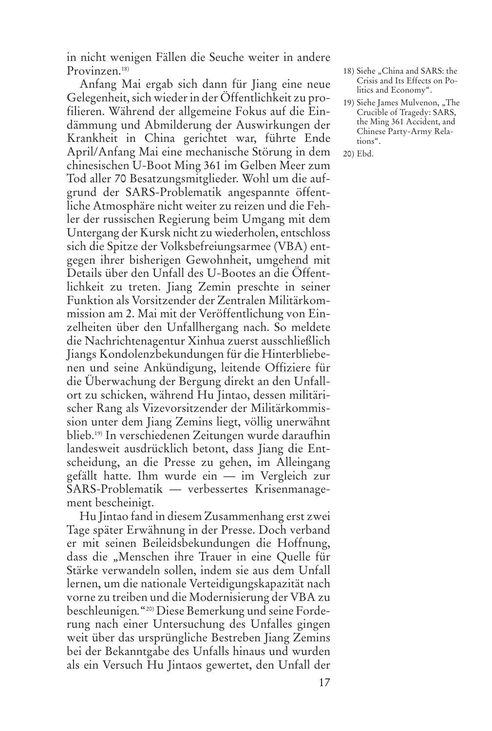in nicht wenigen Fällen die Seuche weiter in andere Provinzen.<sup>18)</sup>

Anfang Mai ergab sich dann für Jiang eine neue Gelegenheit, sich wieder in der Öffentlichkeit zu profilieren. Während der allgemeine Fokus auf die Eindämmung und Abmilderung der Auswirkungen der Krankheit in China gerichtet war, führte Ende April/Anfang Mai eine mechanische Störung in dem chinesischen U-Boot Ming 361 im Gelben Meer zum Tod aller 70 Besatzungsmitglieder. Wohl um die aufgrund der SARS-Problematik angespannte öffentliche Atmosphäre nicht weiter zu reizen und die Fehler der russischen Regierung beim Umgang mit dem Untergang der Kursk nicht zu wiederholen, entschloss sich die Spitze der Volksbefreiungsarmee (VBA) entgegen ihrer bisherigen Gewohnheit, umgehend mit Details über den Unfall des U-Bootes an die Öffentlichkeit zu treten. Jiang Zemin preschte in seiner Funktion als Vorsitzender der Zentralen Militärkommission am 2. Mai mit der Veröffentlichung von Einzelheiten über den Unfallhergang nach. So meldete die Nachrichtenagentur Xinhua zuerst ausschließlich Jiangs Kondolenzbekundungen für die Hinterbliebenen und seine Ankündigung, leitende Offiziere für die Überwachung der Bergung direkt an den Unfallort zu schicken, während Hu Jintao, dessen militärischer Rang als Vizevorsitzender der Militärkommission unter dem Jiang Zemins liegt, völlig unerwähnt blieb.19) In verschiedenen Zeitungen wurde daraufhin landesweit ausdrücklich betont, dass Jiang die Entscheidung, an die Presse zu gehen, im Alleingang gefällt hatte. Ihm wurde ein — im Vergleich zur SARS-Problematik — verbessertes Krisenmanagement bescheinigt.

Hu Jintao fand in diesem Zusammenhang erst zwei Tage später Erwähnung in der Presse. Doch verband er mit seinen Beileidsbekundungen die Hoffnung, dass die "Menschen ihre Trauer in eine Quelle für Stärke verwandeln sollen, indem sie aus dem Unfall lernen, um die nationale Verteidigungskapazität nach vorne zu treiben und die Modernisierung der VBA zu beschleunigen*.*"20) Diese Bemerkung und seine Forderung nach einer Untersuchung des Unfalles gingen weit über das ursprüngliche Bestreben Jiang Zemins bei der Bekanntgabe des Unfalls hinaus und wurden als ein Versuch Hu Jintaos gewertet, den Unfall der

- 18) Siehe "China and SARS: the Crisis and Its Effects on Politics and Economy".
- 19) Siehe James Mulvenon, "The Crucible of Tragedy: SARS, the Ming 361 Accident, and Chinese Party-Army Relations".
- 20) Ebd.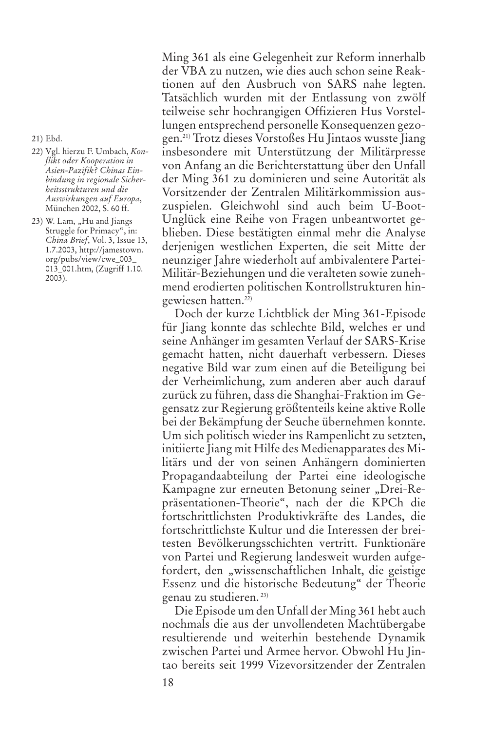21) Ebd.

- 22) Vgl. hierzu F. Umbach, *Konflikt oder Kooperation in Asien-Pazifik? Chinas Einbindung in regionale Sicherheitsstrukturen und die Auswirkungen auf Europa*, München 2002, S. 60 ff.
- 23) W. Lam, "Hu and Jiangs Struggle for Primacy", in: *China Brief*, Vol. 3, Issue 13, 1.7.2003, http://jamestown. org/pubs/view/cwe\_003\_ 013\_001.htm, (Zugriff 1.10. 2003).

Ming 361 als eine Gelegenheit zur Reform innerhalb der VBA zu nutzen, wie dies auch schon seine Reaktionen auf den Ausbruch von SARS nahe legten. Tatsächlich wurden mit der Entlassung von zwölf teilweise sehr hochrangigen Offizieren Hus Vorstellungen entsprechend personelle Konsequenzen gezogen.21) Trotz dieses Vorstoßes Hu Jintaos wusste Jiang insbesondere mit Unterstützung der Militärpresse von Anfang an die Berichterstattung über den Unfall der Ming 361 zu dominieren und seine Autorität als Vorsitzender der Zentralen Militärkommission auszuspielen. Gleichwohl sind auch beim U-Boot-Unglück eine Reihe von Fragen unbeantwortet geblieben. Diese bestätigten einmal mehr die Analyse derjenigen westlichen Experten, die seit Mitte der neunziger Jahre wiederholt auf ambivalentere Partei-Militär-Beziehungen und die veralteten sowie zunehmend erodierten politischen Kontrollstrukturen hingewiesen hatten.22)

Doch der kurze Lichtblick der Ming 361-Episode für Jiang konnte das schlechte Bild, welches er und seine Anhänger im gesamten Verlauf der SARS-Krise gemacht hatten, nicht dauerhaft verbessern. Dieses negative Bild war zum einen auf die Beteiligung bei der Verheimlichung, zum anderen aber auch darauf zurück zu führen, dass die Shanghai-Fraktion im Gegensatz zur Regierung größtenteils keine aktive Rolle bei der Bekämpfung der Seuche übernehmen konnte. Um sich politisch wieder ins Rampenlicht zu setzten, initiierte Jiang mit Hilfe des Medienapparates des Militärs und der von seinen Anhängern dominierten Propagandaabteilung der Partei eine ideologische Kampagne zur erneuten Betonung seiner "Drei-Repräsentationen-Theorie", nach der die KPCh die fortschrittlichsten Produktivkräfte des Landes, die fortschrittlichste Kultur und die Interessen der breitesten Bevölkerungsschichten vertritt. Funktionäre von Partei und Regierung landesweit wurden aufgefordert, den "wissenschaftlichen Inhalt, die geistige Essenz und die historische Bedeutung" der Theorie genau zu studieren. 23)

Die Episode um den Unfall der Ming 361 hebt auch nochmals die aus der unvollendeten Machtübergabe resultierende und weiterhin bestehende Dynamik zwischen Partei und Armee hervor. Obwohl Hu Jintao bereits seit 1999 Vizevorsitzender der Zentralen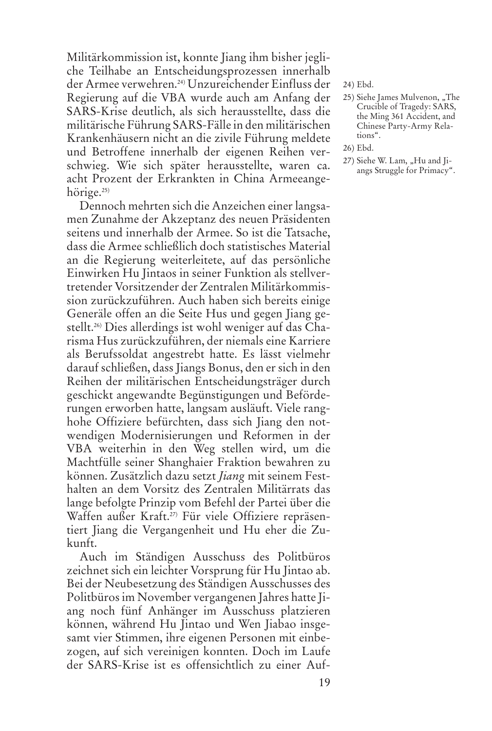Militärkommission ist, konnte Jiang ihm bisher jegliche Teilhabe an Entscheidungsprozessen innerhalb der Armee verwehren.24) Unzureichender Einfluss der Regierung auf die VBA wurde auch am Anfang der SARS-Krise deutlich, als sich herausstellte, dass die militärische Führung SARS-Fälle in den militärischen Krankenhäusern nicht an die zivile Führung meldete und Betroffene innerhalb der eigenen Reihen verschwieg. Wie sich später herausstellte, waren ca. acht Prozent der Erkrankten in China Armeeangehörige.<sup>25)</sup>

Dennoch mehrten sich die Anzeichen einer langsamen Zunahme der Akzeptanz des neuen Präsidenten seitens und innerhalb der Armee. So ist die Tatsache, dass die Armee schließlich doch statistisches Material an die Regierung weiterleitete, auf das persönliche Einwirken Hu Jintaos in seiner Funktion als stellvertretender Vorsitzender der Zentralen Militärkommission zurückzuführen. Auch haben sich bereits einige Generäle offen an die Seite Hus und gegen Jiang gestellt.26) Dies allerdings ist wohl weniger auf das Charisma Hus zurückzuführen, der niemals eine Karriere als Berufssoldat angestrebt hatte. Es lässt vielmehr darauf schließen, dass Jiangs Bonus, den er sich in den Reihen der militärischen Entscheidungsträger durch geschickt angewandte Begünstigungen und Beförderungen erworben hatte, langsam ausläuft. Viele ranghohe Offiziere befürchten, dass sich Jiang den notwendigen Modernisierungen und Reformen in der VBA weiterhin in den Weg stellen wird, um die Machtfülle seiner Shanghaier Fraktion bewahren zu können. Zusätzlich dazu setzt *Jiang* mit seinem Festhalten an dem Vorsitz des Zentralen Militärrats das lange befolgte Prinzip vom Befehl der Partei über die Waffen außer Kraft.27) Für viele Offiziere repräsentiert Jiang die Vergangenheit und Hu eher die Zukunft.

Auch im Ständigen Ausschuss des Politbüros zeichnet sich ein leichter Vorsprung für Hu Jintao ab. Bei der Neubesetzung des Ständigen Ausschusses des Politbüros im November vergangenen Jahres hatte Jiang noch fünf Anhänger im Ausschuss platzieren können, während Hu Jintao und Wen Jiabao insgesamt vier Stimmen, ihre eigenen Personen mit einbezogen, auf sich vereinigen konnten. Doch im Laufe der SARS-Krise ist es offensichtlich zu einer Auf24) Ebd.

- 25) Siehe James Mulvenon, "The Crucible of Tragedy: SARS, the Ming 361 Accident, and Chinese Party-Army Relations".
- 26) Ebd.
- 27) Siehe W. Lam, "Hu and Jiangs Struggle for Primacy".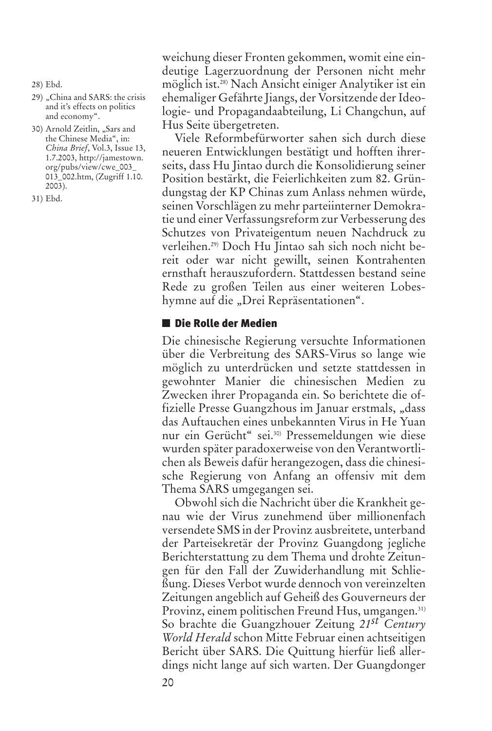- 28) Ebd.
- 29) "China and SARS: the crisis and it's effects on politics and economy".
- 30) Arnold Zeitlin, "Sars and the Chinese Media", in: *China Brief*, Vol.3, Issue 13, 1.7.2003, http://jamestown. org/pubs/view/cwe\_003\_ 013\_002.htm, (Zugriff 1.10. 2003).

31) Ebd.

weichung dieser Fronten gekommen, womit eine eindeutige Lagerzuordnung der Personen nicht mehr möglich ist.28) Nach Ansicht einiger Analytiker ist ein ehemaliger Gefährte Jiangs, der Vorsitzende der Ideologie- und Propagandaabteilung, Li Changchun, auf Hus Seite übergetreten.

Viele Reformbefürworter sahen sich durch diese neueren Entwicklungen bestätigt und hofften ihrerseits, dass Hu Jintao durch die Konsolidierung seiner Position bestärkt, die Feierlichkeiten zum 82. Gründungstag der KP Chinas zum Anlass nehmen würde, seinen Vorschlägen zu mehr parteiinterner Demokratie und einer Verfassungsreform zur Verbesserung des Schutzes von Privateigentum neuen Nachdruck zu verleihen.29) Doch Hu Jintao sah sich noch nicht bereit oder war nicht gewillt, seinen Kontrahenten ernsthaft herauszufordern. Stattdessen bestand seine Rede zu großen Teilen aus einer weiteren Lobeshymne auf die "Drei Repräsentationen".

#### ■ Die Rolle der Medien

Die chinesische Regierung versuchte Informationen über die Verbreitung des SARS-Virus so lange wie möglich zu unterdrücken und setzte stattdessen in gewohnter Manier die chinesischen Medien zu Zwecken ihrer Propaganda ein. So berichtete die offizielle Presse Guangzhous im Januar erstmals, "dass das Auftauchen eines unbekannten Virus in He Yuan nur ein Gerücht" sei.30) Pressemeldungen wie diese wurden später paradoxerweise von den Verantwortlichen als Beweis dafür herangezogen, dass die chinesische Regierung von Anfang an offensiv mit dem Thema SARS umgegangen sei.

Obwohl sich die Nachricht über die Krankheit genau wie der Virus zunehmend über millionenfach versendete SMS in der Provinz ausbreitete, unterband der Parteisekretär der Provinz Guangdong jegliche Berichterstattung zu dem Thema und drohte Zeitungen für den Fall der Zuwiderhandlung mit Schließung. Dieses Verbot wurde dennoch von vereinzelten Zeitungen angeblich auf Geheiß des Gouverneurs der Provinz, einem politischen Freund Hus, umgangen.<sup>31)</sup> So brachte die Guangzhouer Zeitung *21st Century World Herald* schon Mitte Februar einen achtseitigen Bericht über SARS. Die Quittung hierfür ließ allerdings nicht lange auf sich warten. Der Guangdonger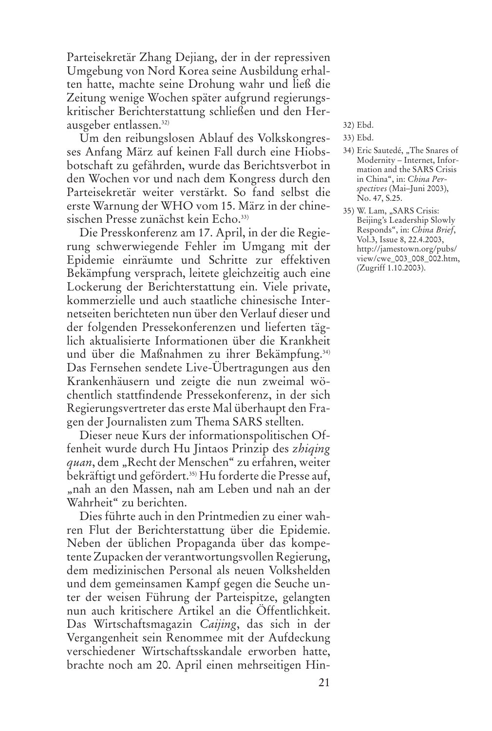Parteisekretär Zhang Dejiang, der in der repressiven Umgebung von Nord Korea seine Ausbildung erhalten hatte, machte seine Drohung wahr und ließ die Zeitung wenige Wochen später aufgrund regierungskritischer Berichterstattung schließen und den Herausgeber entlassen.32)

Um den reibungslosen Ablauf des Volkskongresses Anfang März auf keinen Fall durch eine Hiobsbotschaft zu gefährden, wurde das Berichtsverbot in den Wochen vor und nach dem Kongress durch den Parteisekretär weiter verstärkt. So fand selbst die erste Warnung der WHO vom 15. März in der chinesischen Presse zunächst kein Echo.<sup>33)</sup>

Die Presskonferenz am 17. April, in der die Regierung schwerwiegende Fehler im Umgang mit der Epidemie einräumte und Schritte zur effektiven Bekämpfung versprach, leitete gleichzeitig auch eine Lockerung der Berichterstattung ein. Viele private, kommerzielle und auch staatliche chinesische Internetseiten berichteten nun über den Verlauf dieser und der folgenden Pressekonferenzen und lieferten täglich aktualisierte Informationen über die Krankheit und über die Maßnahmen zu ihrer Bekämpfung.<sup>34)</sup> Das Fernsehen sendete Live-Übertragungen aus den Krankenhäusern und zeigte die nun zweimal wöchentlich stattfindende Pressekonferenz, in der sich Regierungsvertreter das erste Mal überhaupt den Fragen der Journalisten zum Thema SARS stellten.

Dieser neue Kurs der informationspolitischen Offenheit wurde durch Hu Jintaos Prinzip des *zhiqing* quan, dem "Recht der Menschen" zu erfahren, weiter bekräftigt und gefördert.35) Hu forderte die Presse auf, "nah an den Massen, nah am Leben und nah an der Wahrheit" zu berichten.

Dies führte auch in den Printmedien zu einer wahren Flut der Berichterstattung über die Epidemie. Neben der üblichen Propaganda über das kompetente Zupacken der verantwortungsvollen Regierung, dem medizinischen Personal als neuen Volkshelden und dem gemeinsamen Kampf gegen die Seuche unter der weisen Führung der Parteispitze, gelangten nun auch kritischere Artikel an die Öffentlichkeit. Das Wirtschaftsmagazin *Caijing*, das sich in der Vergangenheit sein Renommee mit der Aufdeckung verschiedener Wirtschaftsskandale erworben hatte, brachte noch am 20. April einen mehrseitigen Hin-

- 32) Ebd.
- 33) Ebd.
- 34) Eric Sautedé, "The Snares of Modernity – Internet, Information and the SARS Crisis in China", in: *China Perspectives* (Mai–Juni 2003), No. 47, S.25.
- 35) W. Lam, "SARS Crisis: Beijing's Leadership Slowly Responds", in: *China Brief*, Vol.3, Issue 8, 22.4.2003, http://jamestown.org/pubs/ view/cwe\_003\_008\_002.htm, (Zugriff 1.10.2003).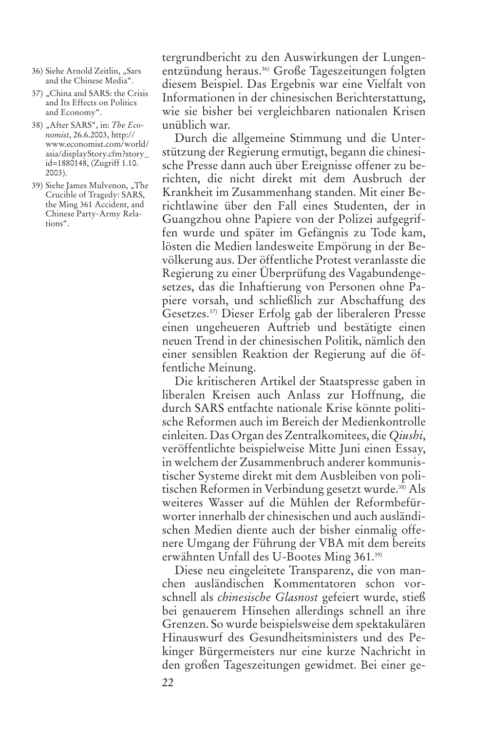- 36) Siehe Arnold Zeitlin, "Sars and the Chinese Media".
- 37) "China and SARS: the Crisis and Its Effects on Politics and Economy".
- 38) "After SARS", in: *The Economist*, 26.6.2003, http:// www.economist.com/world/ asia/displayStory.cfm?story\_ id=1880148, (Zugriff 1.10. 2003).
- 39) Siehe James Mulvenon, "The Crucible of Tragedy: SARS, the Ming 361 Accident, and Chinese Party-Army Relations".

tergrundbericht zu den Auswirkungen der Lungenentzündung heraus.36) Große Tageszeitungen folgten diesem Beispiel. Das Ergebnis war eine Vielfalt von Informationen in der chinesischen Berichterstattung, wie sie bisher bei vergleichbaren nationalen Krisen unüblich war.

Durch die allgemeine Stimmung und die Unterstützung der Regierung ermutigt, begann die chinesische Presse dann auch über Ereignisse offener zu berichten, die nicht direkt mit dem Ausbruch der Krankheit im Zusammenhang standen. Mit einer Berichtlawine über den Fall eines Studenten, der in Guangzhou ohne Papiere von der Polizei aufgegriffen wurde und später im Gefängnis zu Tode kam, lösten die Medien landesweite Empörung in der Bevölkerung aus. Der öffentliche Protest veranlasste die Regierung zu einer Überprüfung des Vagabundengesetzes, das die Inhaftierung von Personen ohne Papiere vorsah, und schließlich zur Abschaffung des Gesetzes.37) Dieser Erfolg gab der liberaleren Presse einen ungeheueren Auftrieb und bestätigte einen neuen Trend in der chinesischen Politik, nämlich den einer sensiblen Reaktion der Regierung auf die öffentliche Meinung.

Die kritischeren Artikel der Staatspresse gaben in liberalen Kreisen auch Anlass zur Hoffnung, die durch SARS entfachte nationale Krise könnte politische Reformen auch im Bereich der Medienkontrolle einleiten. Das Organ des Zentralkomitees, die *Qiushi*, veröffentlichte beispielweise Mitte Juni einen Essay, in welchem der Zusammenbruch anderer kommunistischer Systeme direkt mit dem Ausbleiben von politischen Reformen in Verbindung gesetzt wurde.38) Als weiteres Wasser auf die Mühlen der Reformbefürworter innerhalb der chinesischen und auch ausländischen Medien diente auch der bisher einmalig offenere Umgang der Führung der VBA mit dem bereits erwähnten Unfall des U-Bootes Ming 361.39)

Diese neu eingeleitete Transparenz, die von manchen ausländischen Kommentatoren schon vorschnell als *chinesische Glasnost* gefeiert wurde, stieß bei genauerem Hinsehen allerdings schnell an ihre Grenzen. So wurde beispielsweise dem spektakulären Hinauswurf des Gesundheitsministers und des Pekinger Bürgermeisters nur eine kurze Nachricht in den großen Tageszeitungen gewidmet. Bei einer ge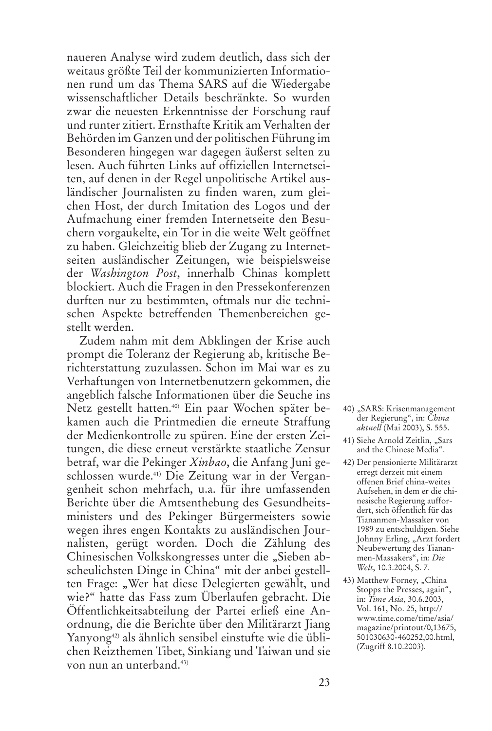naueren Analyse wird zudem deutlich, dass sich der weitaus größte Teil der kommunizierten Informationen rund um das Thema SARS auf die Wiedergabe wissenschaftlicher Details beschränkte. So wurden zwar die neuesten Erkenntnisse der Forschung rauf und runter zitiert. Ernsthafte Kritik am Verhalten der Behörden im Ganzen und der politischen Führung im Besonderen hingegen war dagegen äußerst selten zu lesen. Auch führten Links auf offiziellen Internetseiten, auf denen in der Regel unpolitische Artikel ausländischer Journalisten zu finden waren, zum gleichen Host, der durch Imitation des Logos und der Aufmachung einer fremden Internetseite den Besuchern vorgaukelte, ein Tor in die weite Welt geöffnet zu haben. Gleichzeitig blieb der Zugang zu Internetseiten ausländischer Zeitungen, wie beispielsweise der *Washington Post*, innerhalb Chinas komplett blockiert. Auch die Fragen in den Pressekonferenzen durften nur zu bestimmten, oftmals nur die technischen Aspekte betreffenden Themenbereichen gestellt werden.

Zudem nahm mit dem Abklingen der Krise auch prompt die Toleranz der Regierung ab, kritische Berichterstattung zuzulassen. Schon im Mai war es zu Verhaftungen von Internetbenutzern gekommen, die angeblich falsche Informationen über die Seuche ins Netz gestellt hatten.40) Ein paar Wochen später bekamen auch die Printmedien die erneute Straffung der Medienkontrolle zu spüren. Eine der ersten Zeitungen, die diese erneut verstärkte staatliche Zensur betraf, war die Pekinger *Xinbao*, die Anfang Juni geschlossen wurde.41) Die Zeitung war in der Vergangenheit schon mehrfach, u.a. für ihre umfassenden Berichte über die Amtsenthebung des Gesundheitsministers und des Pekinger Bürgermeisters sowie wegen ihres engen Kontakts zu ausländischen Journalisten, gerügt worden. Doch die Zählung des Chinesischen Volkskongresses unter die "Sieben abscheulichsten Dinge in China" mit der anbei gestellten Frage: "Wer hat diese Delegierten gewählt, und wie?" hatte das Fass zum Überlaufen gebracht. Die Öffentlichkeitsabteilung der Partei erließ eine Anordnung, die die Berichte über den Militärarzt Jiang Yanyong<sup>42)</sup> als ähnlich sensibel einstufte wie die üblichen Reizthemen Tibet, Sinkiang und Taiwan und sie von nun an unterband.<sup>43)</sup>

- 40) "SARS: Krisenmanagement der Regierung", in: *China aktuell* (Mai 2003), S. 555.
- 41) Siehe Arnold Zeitlin, "Sars and the Chinese Media".
- 42) Der pensionierte Militärarzt erregt derzeit mit einem offenen Brief china-weites Aufsehen, in dem er die chinesische Regierung auffordert, sich öffentlich für das Tiananmen-Massaker von 1989 zu entschuldigen. Siehe Johnny Erling, "Arzt fordert Neubewertung des Tiananmen-Massakers", in: *Die Welt*, 10.3.2004, S. 7.
- 43) Matthew Forney, "China Stopps the Presses, again", in: *Time Asia*, 30.6.2003, Vol. 161, No. 25, http:// www.time.come/time/asia/ magazine/printout/0,13675, 501030630-460252,00.html, (Zugriff 8.10.2003).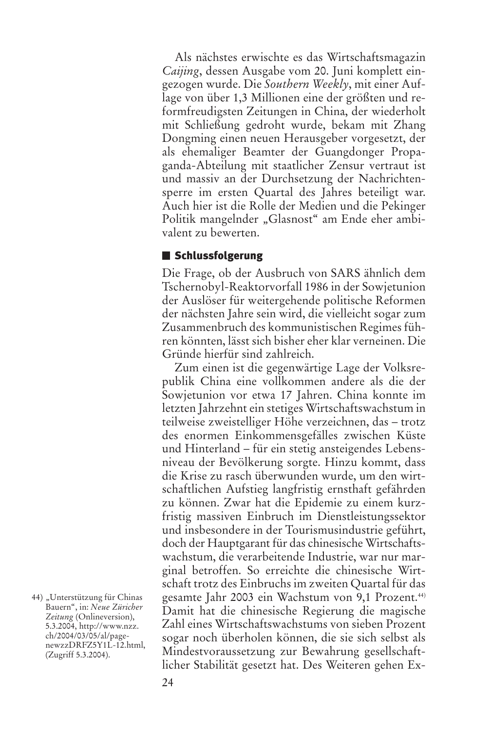Als nächstes erwischte es das Wirtschaftsmagazin *Caijing*, dessen Ausgabe vom 20. Juni komplett eingezogen wurde. Die *Southern Weekly*, mit einer Auflage von über 1,3 Millionen eine der größten und reformfreudigsten Zeitungen in China, der wiederholt mit Schließung gedroht wurde, bekam mit Zhang Dongming einen neuen Herausgeber vorgesetzt, der als ehemaliger Beamter der Guangdonger Propaganda-Abteilung mit staatlicher Zensur vertraut ist und massiv an der Durchsetzung der Nachrichtensperre im ersten Quartal des Jahres beteiligt war. Auch hier ist die Rolle der Medien und die Pekinger Politik mangelnder "Glasnost" am Ende eher ambivalent zu bewerten.

### ■ Schlussfolgerung

Die Frage, ob der Ausbruch von SARS ähnlich dem Tschernobyl-Reaktorvorfall 1986 in der Sowjetunion der Auslöser für weitergehende politische Reformen der nächsten Jahre sein wird, die vielleicht sogar zum Zusammenbruch des kommunistischen Regimes führen könnten, lässt sich bisher eher klar verneinen. Die Gründe hierfür sind zahlreich.

Zum einen ist die gegenwärtige Lage der Volksrepublik China eine vollkommen andere als die der Sowjetunion vor etwa 17 Jahren. China konnte im letzten Jahrzehnt ein stetiges Wirtschaftswachstum in teilweise zweistelliger Höhe verzeichnen, das – trotz des enormen Einkommensgefälles zwischen Küste und Hinterland – für ein stetig ansteigendes Lebensniveau der Bevölkerung sorgte. Hinzu kommt, dass die Krise zu rasch überwunden wurde, um den wirtschaftlichen Aufstieg langfristig ernsthaft gefährden zu können. Zwar hat die Epidemie zu einem kurzfristig massiven Einbruch im Dienstleistungssektor und insbesondere in der Tourismusindustrie geführt, doch der Hauptgarant für das chinesische Wirtschaftswachstum, die verarbeitende Industrie, war nur marginal betroffen. So erreichte die chinesische Wirtschaft trotz des Einbruchs im zweiten Quartal für das gesamte Jahr 2003 ein Wachstum von 9,1 Prozent.<sup>44)</sup> Damit hat die chinesische Regierung die magische Zahl eines Wirtschaftswachstums von sieben Prozent sogar noch überholen können, die sie sich selbst als Mindestvoraussetzung zur Bewahrung gesellschaftlicher Stabilität gesetzt hat. Des Weiteren gehen Ex-

<sup>44) &</sup>quot;Unterstützung für Chinas Bauern", in: *Neue Züricher Zeitung* (Onlineversion), 5.3.2004, http://www.nzz. ch/2004/03/05/al/pagenewzzDRFZ5Y1L-12.html, (Zugriff 5.3.2004).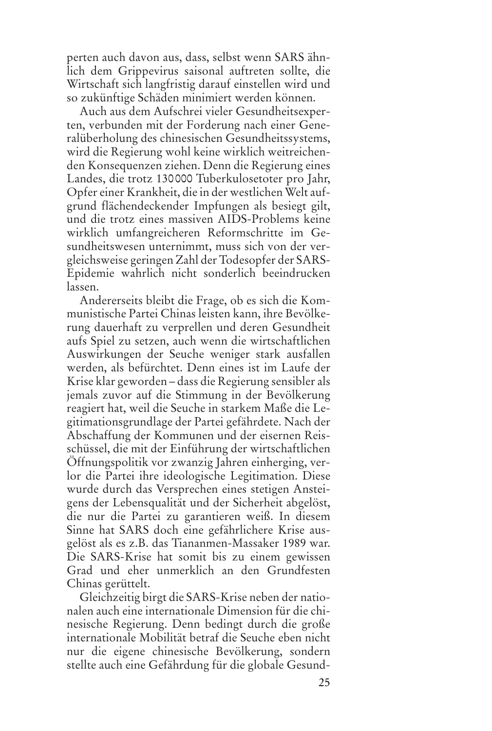perten auch davon aus, dass, selbst wenn SARS ähnlich dem Grippevirus saisonal auftreten sollte, die Wirtschaft sich langfristig darauf einstellen wird und so zukünftige Schäden minimiert werden können.

Auch aus dem Aufschrei vieler Gesundheitsexperten, verbunden mit der Forderung nach einer Generalüberholung des chinesischen Gesundheitssystems, wird die Regierung wohl keine wirklich weitreichenden Konsequenzen ziehen. Denn die Regierung eines Landes, die trotz 130000 Tuberkulosetoter pro Jahr, Opfer einer Krankheit, die in der westlichen Welt aufgrund flächendeckender Impfungen als besiegt gilt, und die trotz eines massiven AIDS-Problems keine wirklich umfangreicheren Reformschritte im Gesundheitswesen unternimmt, muss sich von der vergleichsweise geringen Zahl der Todesopfer der SARS-Epidemie wahrlich nicht sonderlich beeindrucken lassen.

Andererseits bleibt die Frage, ob es sich die Kommunistische Partei Chinas leisten kann, ihre Bevölkerung dauerhaft zu verprellen und deren Gesundheit aufs Spiel zu setzen, auch wenn die wirtschaftlichen Auswirkungen der Seuche weniger stark ausfallen werden, als befürchtet. Denn eines ist im Laufe der Krise klar geworden – dass die Regierung sensibler als jemals zuvor auf die Stimmung in der Bevölkerung reagiert hat, weil die Seuche in starkem Maße die Legitimationsgrundlage der Partei gefährdete. Nach der Abschaffung der Kommunen und der eisernen Reisschüssel, die mit der Einführung der wirtschaftlichen Öffnungspolitik vor zwanzig Jahren einherging, verlor die Partei ihre ideologische Legitimation. Diese wurde durch das Versprechen eines stetigen Ansteigens der Lebensqualität und der Sicherheit abgelöst, die nur die Partei zu garantieren weiß. In diesem Sinne hat SARS doch eine gefährlichere Krise ausgelöst als es z.B. das Tiananmen-Massaker 1989 war. Die SARS-Krise hat somit bis zu einem gewissen Grad und eher unmerklich an den Grundfesten Chinas gerüttelt.

Gleichzeitig birgt die SARS-Krise neben der nationalen auch eine internationale Dimension für die chinesische Regierung. Denn bedingt durch die große internationale Mobilität betraf die Seuche eben nicht nur die eigene chinesische Bevölkerung, sondern stellte auch eine Gefährdung für die globale Gesund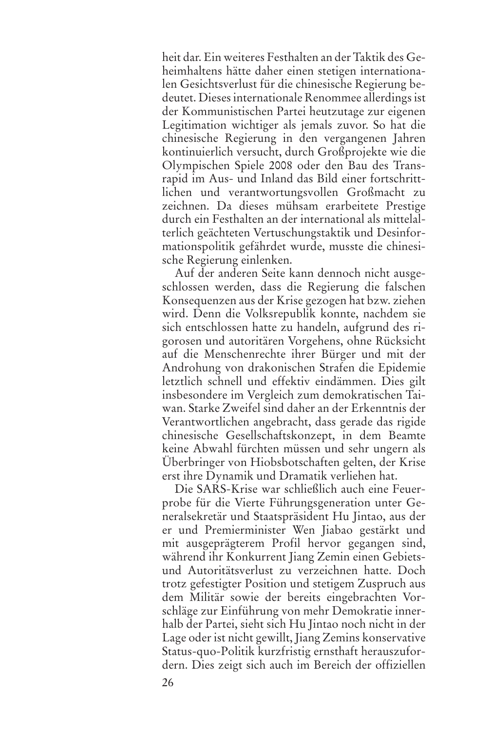heit dar. Ein weiteres Festhalten an der Taktik des Geheimhaltens hätte daher einen stetigen internationalen Gesichtsverlust für die chinesische Regierung bedeutet. Dieses internationale Renommee allerdings ist der Kommunistischen Partei heutzutage zur eigenen Legitimation wichtiger als jemals zuvor. So hat die chinesische Regierung in den vergangenen Jahren kontinuierlich versucht, durch Großprojekte wie die Olympischen Spiele 2008 oder den Bau des Transrapid im Aus- und Inland das Bild einer fortschrittlichen und verantwortungsvollen Großmacht zu zeichnen. Da dieses mühsam erarbeitete Prestige durch ein Festhalten an der international als mittelalterlich geächteten Vertuschungstaktik und Desinformationspolitik gefährdet wurde, musste die chinesische Regierung einlenken.

Auf der anderen Seite kann dennoch nicht ausgeschlossen werden, dass die Regierung die falschen Konsequenzen aus der Krise gezogen hat bzw. ziehen wird. Denn die Volksrepublik konnte, nachdem sie sich entschlossen hatte zu handeln, aufgrund des rigorosen und autoritären Vorgehens, ohne Rücksicht auf die Menschenrechte ihrer Bürger und mit der Androhung von drakonischen Strafen die Epidemie letztlich schnell und effektiv eindämmen. Dies gilt insbesondere im Vergleich zum demokratischen Taiwan. Starke Zweifel sind daher an der Erkenntnis der Verantwortlichen angebracht, dass gerade das rigide chinesische Gesellschaftskonzept, in dem Beamte keine Abwahl fürchten müssen und sehr ungern als Überbringer von Hiobsbotschaften gelten, der Krise erst ihre Dynamik und Dramatik verliehen hat.

Die SARS-Krise war schließlich auch eine Feuerprobe für die Vierte Führungsgeneration unter Generalsekretär und Staatspräsident Hu Jintao, aus der er und Premierminister Wen Jiabao gestärkt und mit ausgeprägterem Profil hervor gegangen sind, während ihr Konkurrent Jiang Zemin einen Gebietsund Autoritätsverlust zu verzeichnen hatte. Doch trotz gefestigter Position und stetigem Zuspruch aus dem Militär sowie der bereits eingebrachten Vorschläge zur Einführung von mehr Demokratie innerhalb der Partei, sieht sich Hu Jintao noch nicht in der Lage oder ist nicht gewillt, Jiang Zemins konservative Status-quo-Politik kurzfristig ernsthaft herauszufordern. Dies zeigt sich auch im Bereich der offiziellen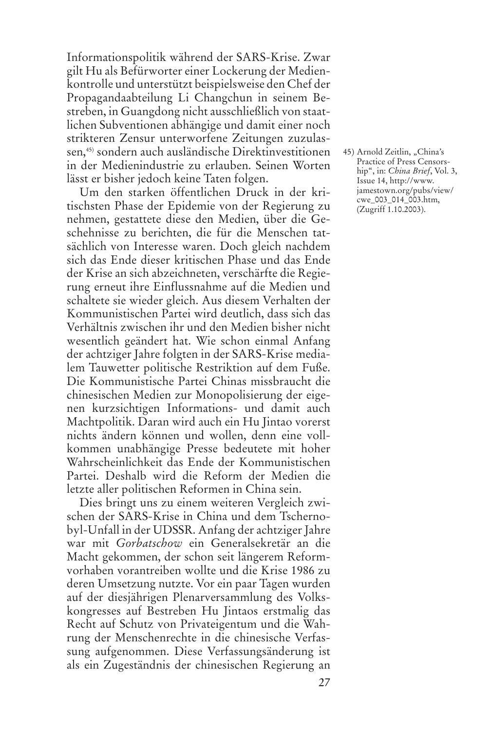Informationspolitik während der SARS-Krise. Zwar gilt Hu als Befürworter einer Lockerung der Medienkontrolle und unterstützt beispielsweise den Chef der Propagandaabteilung Li Changchun in seinem Bestreben, in Guangdong nicht ausschließlich von staatlichen Subventionen abhängige und damit einer noch strikteren Zensur unterworfene Zeitungen zuzulassen,45) sondern auch ausländische Direktinvestitionen in der Medienindustrie zu erlauben. Seinen Worten lässt er bisher jedoch keine Taten folgen.

Um den starken öffentlichen Druck in der kritischsten Phase der Epidemie von der Regierung zu nehmen, gestattete diese den Medien, über die Geschehnisse zu berichten, die für die Menschen tatsächlich von Interesse waren. Doch gleich nachdem sich das Ende dieser kritischen Phase und das Ende der Krise an sich abzeichneten, verschärfte die Regierung erneut ihre Einflussnahme auf die Medien und schaltete sie wieder gleich. Aus diesem Verhalten der Kommunistischen Partei wird deutlich, dass sich das Verhältnis zwischen ihr und den Medien bisher nicht wesentlich geändert hat. Wie schon einmal Anfang der achtziger Jahre folgten in der SARS-Krise medialem Tauwetter politische Restriktion auf dem Fuße. Die Kommunistische Partei Chinas missbraucht die chinesischen Medien zur Monopolisierung der eigenen kurzsichtigen Informations- und damit auch Machtpolitik. Daran wird auch ein Hu Jintao vorerst nichts ändern können und wollen, denn eine vollkommen unabhängige Presse bedeutete mit hoher Wahrscheinlichkeit das Ende der Kommunistischen Partei. Deshalb wird die Reform der Medien die letzte aller politischen Reformen in China sein.

Dies bringt uns zu einem weiteren Vergleich zwischen der SARS-Krise in China und dem Tschernobyl-Unfall in der UDSSR. Anfang der achtziger Jahre war mit *Gorbatschow* ein Generalsekretär an die Macht gekommen, der schon seit längerem Reformvorhaben vorantreiben wollte und die Krise 1986 zu deren Umsetzung nutzte. Vor ein paar Tagen wurden auf der diesjährigen Plenarversammlung des Volkskongresses auf Bestreben Hu Jintaos erstmalig das Recht auf Schutz von Privateigentum und die Wahrung der Menschenrechte in die chinesische Verfassung aufgenommen. Diese Verfassungsänderung ist als ein Zugeständnis der chinesischen Regierung an 45) Arnold Zeitlin, "China's Practice of Press Censorship", in: *China Brief*, Vol. 3, Issue 14, http://www. jamestown.org/pubs/view/ cwe\_003\_014\_003.htm, (Zugriff 1.10.2003).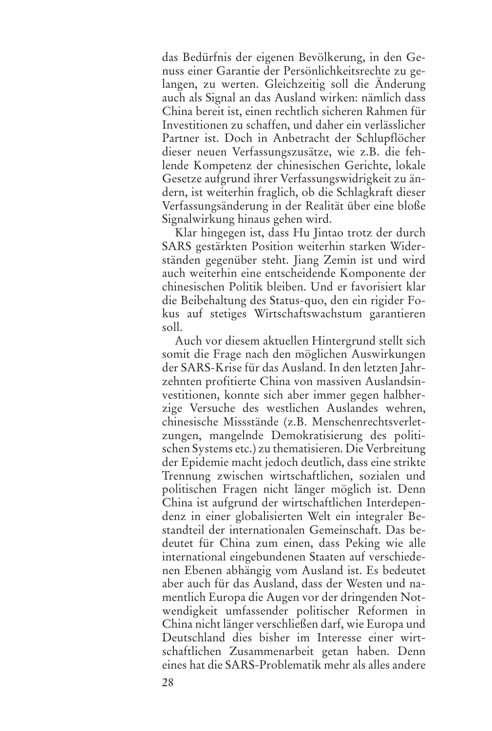das Bedürfnis der eigenen Bevölkerung, in den Genuss einer Garantie der Persönlichkeitsrechte zu gelangen, zu werten. Gleichzeitig soll die Änderung auch als Signal an das Ausland wirken: nämlich dass China bereit ist, einen rechtlich sicheren Rahmen für Investitionen zu schaffen, und daher ein verlässlicher Partner ist. Doch in Anbetracht der Schlupflöcher dieser neuen Verfassungszusätze, wie z.B. die fehlende Kompetenz der chinesischen Gerichte, lokale Gesetze aufgrund ihrer Verfassungswidrigkeit zu ändern, ist weiterhin fraglich, ob die Schlagkraft dieser Verfassungsänderung in der Realität über eine bloße Signalwirkung hinaus gehen wird.

Klar hingegen ist, dass Hu Jintao trotz der durch SARS gestärkten Position weiterhin starken Widerständen gegenüber steht. Jiang Zemin ist und wird auch weiterhin eine entscheidende Komponente der chinesischen Politik bleiben. Und er favorisiert klar die Beibehaltung des Status-quo, den ein rigider Fokus auf stetiges Wirtschaftswachstum garantieren soll.

Auch vor diesem aktuellen Hintergrund stellt sich somit die Frage nach den möglichen Auswirkungen der SARS-Krise für das Ausland. In den letzten Jahrzehnten profitierte China von massiven Auslandsinvestitionen, konnte sich aber immer gegen halbherzige Versuche des westlichen Auslandes wehren, chinesische Missstände (z.B. Menschenrechtsverletzungen, mangelnde Demokratisierung des politischen Systems etc.) zu thematisieren. Die Verbreitung der Epidemie macht jedoch deutlich, dass eine strikte Trennung zwischen wirtschaftlichen, sozialen und politischen Fragen nicht länger möglich ist. Denn China ist aufgrund der wirtschaftlichen Interdependenz in einer globalisierten Welt ein integraler Bestandteil der internationalen Gemeinschaft. Das bedeutet für China zum einen, dass Peking wie alle international eingebundenen Staaten auf verschiedenen Ebenen abhängig vom Ausland ist. Es bedeutet aber auch für das Ausland, dass der Westen und namentlich Europa die Augen vor der dringenden Notwendigkeit umfassender politischer Reformen in China nicht länger verschließen darf, wie Europa und Deutschland dies bisher im Interesse einer wirtschaftlichen Zusammenarbeit getan haben. Denn eines hat die SARS-Problematik mehr als alles andere